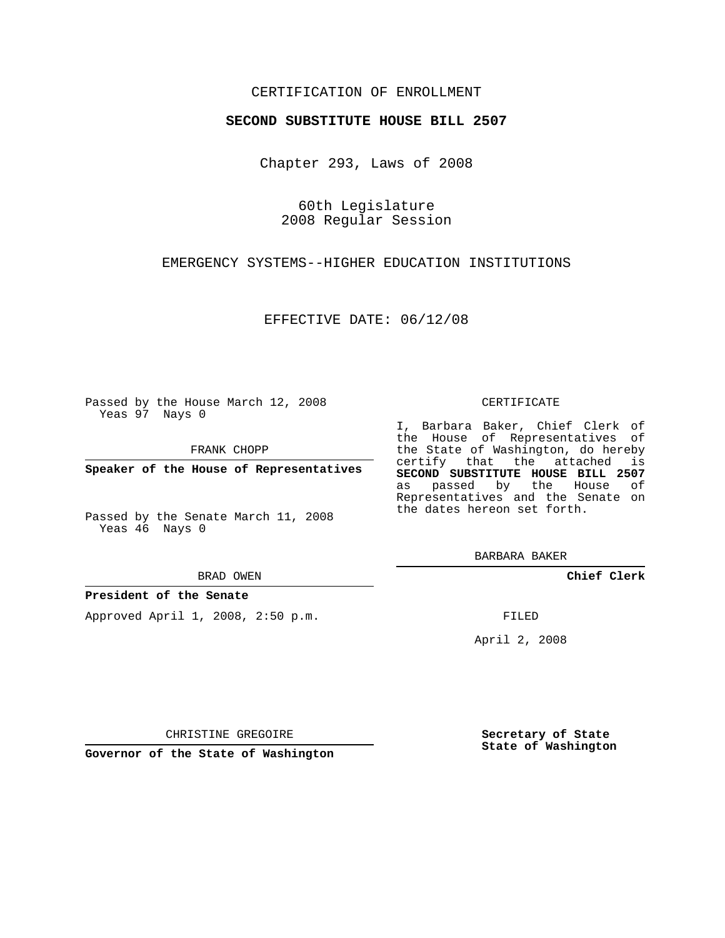# CERTIFICATION OF ENROLLMENT

### **SECOND SUBSTITUTE HOUSE BILL 2507**

Chapter 293, Laws of 2008

60th Legislature 2008 Regular Session

EMERGENCY SYSTEMS--HIGHER EDUCATION INSTITUTIONS

EFFECTIVE DATE: 06/12/08

Passed by the House March 12, 2008 Yeas 97 Nays 0

FRANK CHOPP

**Speaker of the House of Representatives**

Passed by the Senate March 11, 2008 Yeas 46 Nays 0

#### BRAD OWEN

### **President of the Senate**

Approved April 1, 2008, 2:50 p.m.

#### CERTIFICATE

I, Barbara Baker, Chief Clerk of the House of Representatives of the State of Washington, do hereby certify that the attached is **SECOND SUBSTITUTE HOUSE BILL 2507** as passed by the House of Representatives and the Senate on the dates hereon set forth.

BARBARA BAKER

**Chief Clerk**

FILED

April 2, 2008

CHRISTINE GREGOIRE

**Governor of the State of Washington**

**Secretary of State State of Washington**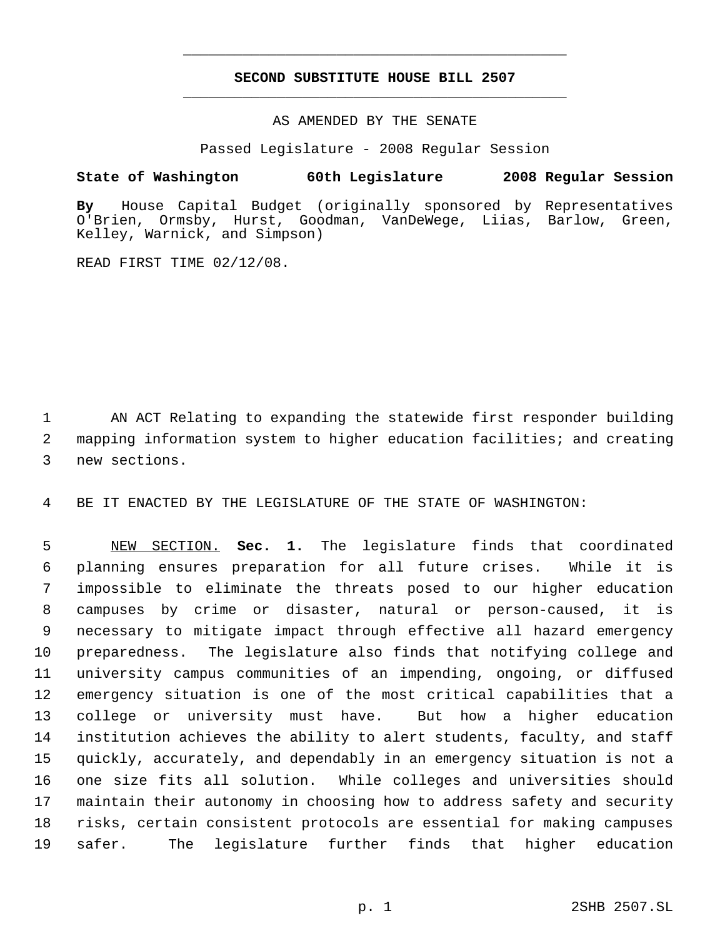# **SECOND SUBSTITUTE HOUSE BILL 2507** \_\_\_\_\_\_\_\_\_\_\_\_\_\_\_\_\_\_\_\_\_\_\_\_\_\_\_\_\_\_\_\_\_\_\_\_\_\_\_\_\_\_\_\_\_

\_\_\_\_\_\_\_\_\_\_\_\_\_\_\_\_\_\_\_\_\_\_\_\_\_\_\_\_\_\_\_\_\_\_\_\_\_\_\_\_\_\_\_\_\_

AS AMENDED BY THE SENATE

Passed Legislature - 2008 Regular Session

## **State of Washington 60th Legislature 2008 Regular Session**

**By** House Capital Budget (originally sponsored by Representatives O'Brien, Ormsby, Hurst, Goodman, VanDeWege, Liias, Barlow, Green, Kelley, Warnick, and Simpson)

READ FIRST TIME 02/12/08.

 AN ACT Relating to expanding the statewide first responder building mapping information system to higher education facilities; and creating new sections.

BE IT ENACTED BY THE LEGISLATURE OF THE STATE OF WASHINGTON:

 NEW SECTION. **Sec. 1.** The legislature finds that coordinated planning ensures preparation for all future crises. While it is impossible to eliminate the threats posed to our higher education campuses by crime or disaster, natural or person-caused, it is necessary to mitigate impact through effective all hazard emergency preparedness. The legislature also finds that notifying college and university campus communities of an impending, ongoing, or diffused emergency situation is one of the most critical capabilities that a college or university must have. But how a higher education institution achieves the ability to alert students, faculty, and staff quickly, accurately, and dependably in an emergency situation is not a one size fits all solution. While colleges and universities should maintain their autonomy in choosing how to address safety and security risks, certain consistent protocols are essential for making campuses safer. The legislature further finds that higher education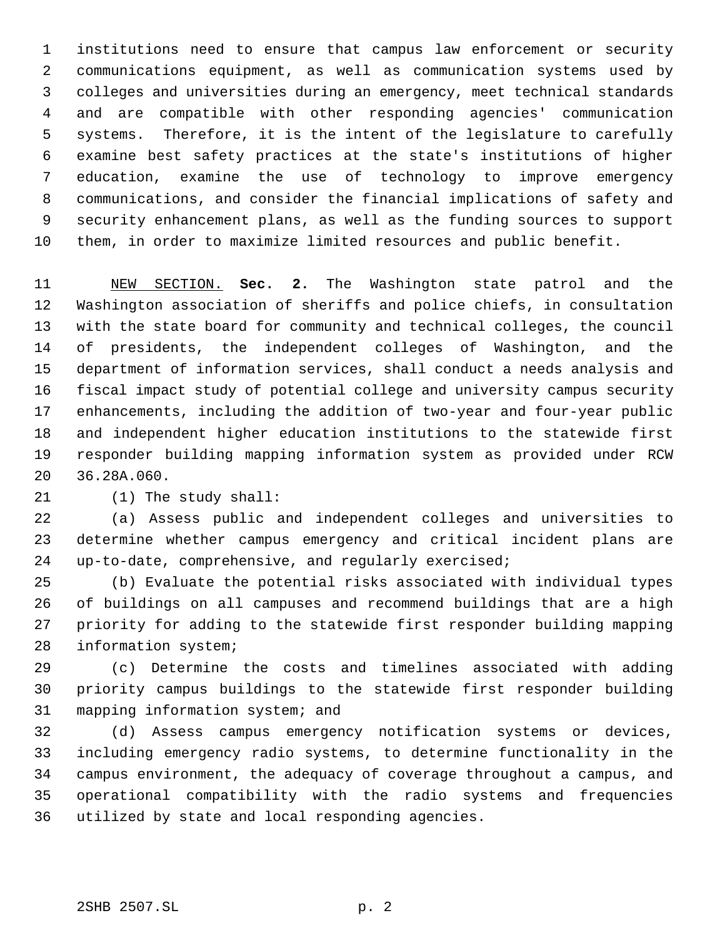institutions need to ensure that campus law enforcement or security communications equipment, as well as communication systems used by colleges and universities during an emergency, meet technical standards and are compatible with other responding agencies' communication systems. Therefore, it is the intent of the legislature to carefully examine best safety practices at the state's institutions of higher education, examine the use of technology to improve emergency communications, and consider the financial implications of safety and security enhancement plans, as well as the funding sources to support them, in order to maximize limited resources and public benefit.

 NEW SECTION. **Sec. 2.** The Washington state patrol and the Washington association of sheriffs and police chiefs, in consultation with the state board for community and technical colleges, the council of presidents, the independent colleges of Washington, and the department of information services, shall conduct a needs analysis and fiscal impact study of potential college and university campus security enhancements, including the addition of two-year and four-year public and independent higher education institutions to the statewide first responder building mapping information system as provided under RCW 36.28A.060.

(1) The study shall:

 (a) Assess public and independent colleges and universities to determine whether campus emergency and critical incident plans are up-to-date, comprehensive, and regularly exercised;

 (b) Evaluate the potential risks associated with individual types of buildings on all campuses and recommend buildings that are a high priority for adding to the statewide first responder building mapping information system;

 (c) Determine the costs and timelines associated with adding priority campus buildings to the statewide first responder building mapping information system; and

 (d) Assess campus emergency notification systems or devices, including emergency radio systems, to determine functionality in the campus environment, the adequacy of coverage throughout a campus, and operational compatibility with the radio systems and frequencies utilized by state and local responding agencies.